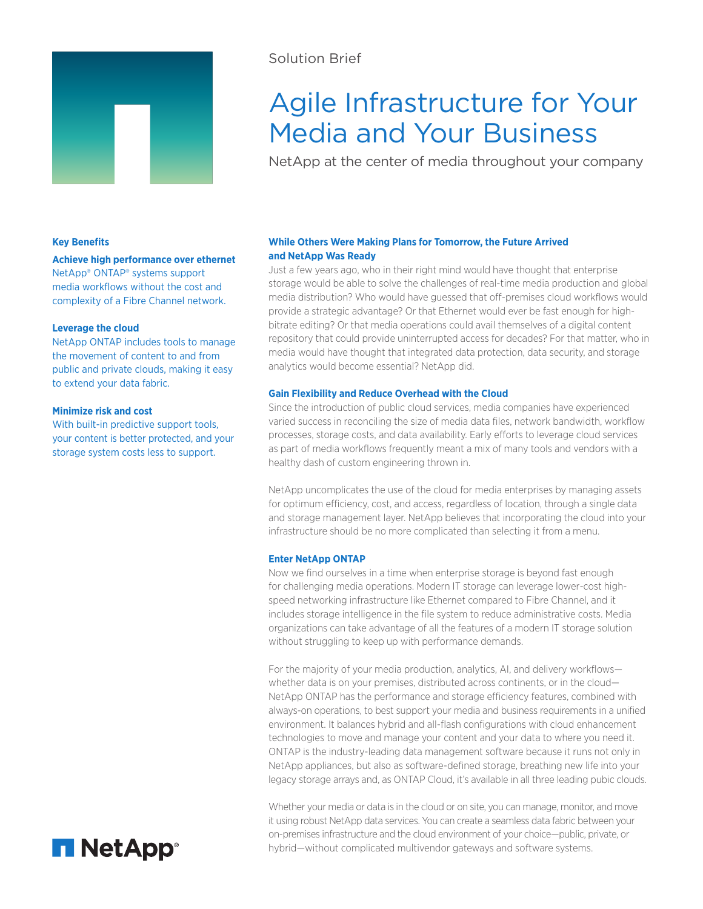

## Solution Brief

# Agile Infrastructure for Your Media and Your Business

NetApp at the center of media throughout your company

## **Key Benefits**

**Achieve high performance over ethernet** NetApp® ONTAP® systems support media workflows without the cost and complexity of a Fibre Channel network.

## **Leverage the cloud**

NetApp ONTAP includes tools to manage the movement of content to and from public and private clouds, making it easy to extend your data fabric.

## **Minimize risk and cost**

With built-in predictive support tools, your content is better protected, and your storage system costs less to support.

## **While Others Were Making Plans for Tomorrow, the Future Arrived and NetApp Was Ready**

Just a few years ago, who in their right mind would have thought that enterprise storage would be able to solve the challenges of real-time media production and global media distribution? Who would have guessed that off-premises cloud workflows would provide a strategic advantage? Or that Ethernet would ever be fast enough for highbitrate editing? Or that media operations could avail themselves of a digital content repository that could provide uninterrupted access for decades? For that matter, who in media would have thought that integrated data protection, data security, and storage analytics would become essential? NetApp did.

## **Gain Flexibility and Reduce Overhead with the Cloud**

Since the introduction of public cloud services, media companies have experienced varied success in reconciling the size of media data files, network bandwidth, workflow processes, storage costs, and data availability. Early efforts to leverage cloud services as part of media workflows frequently meant a mix of many tools and vendors with a healthy dash of custom engineering thrown in.

NetApp uncomplicates the use of the cloud for media enterprises by managing assets for optimum efficiency, cost, and access, regardless of location, through a single data and storage management layer. NetApp believes that incorporating the cloud into your infrastructure should be no more complicated than selecting it from a menu.

## **Enter NetApp ONTAP**

Now we find ourselves in a time when enterprise storage is beyond fast enough for challenging media operations. Modern IT storage can leverage lower-cost highspeed networking infrastructure like Ethernet compared to Fibre Channel, and it includes storage intelligence in the file system to reduce administrative costs. Media organizations can take advantage of all the features of a modern IT storage solution without struggling to keep up with performance demands.

For the majority of your media production, analytics, AI, and delivery workflows whether data is on your premises, distributed across continents, or in the cloud— NetApp ONTAP has the performance and storage efficiency features, combined with always-on operations, to best support your media and business requirements in a unified environment. It balances hybrid and all-flash configurations with cloud enhancement technologies to move and manage your content and your data to where you need it. ONTAP is the industry-leading data management software because it runs not only in NetApp appliances, but also as software-defined storage, breathing new life into your legacy storage arrays and, as ONTAP Cloud, it's available in all three leading pubic clouds.

Whether your media or data is in the cloud or on site, you can manage, monitor, and move it using robust NetApp data services. You can create a seamless data fabric between your on-premises infrastructure and the cloud environment of your choice—public, private, or hybrid—without complicated multivendor gateways and software systems.

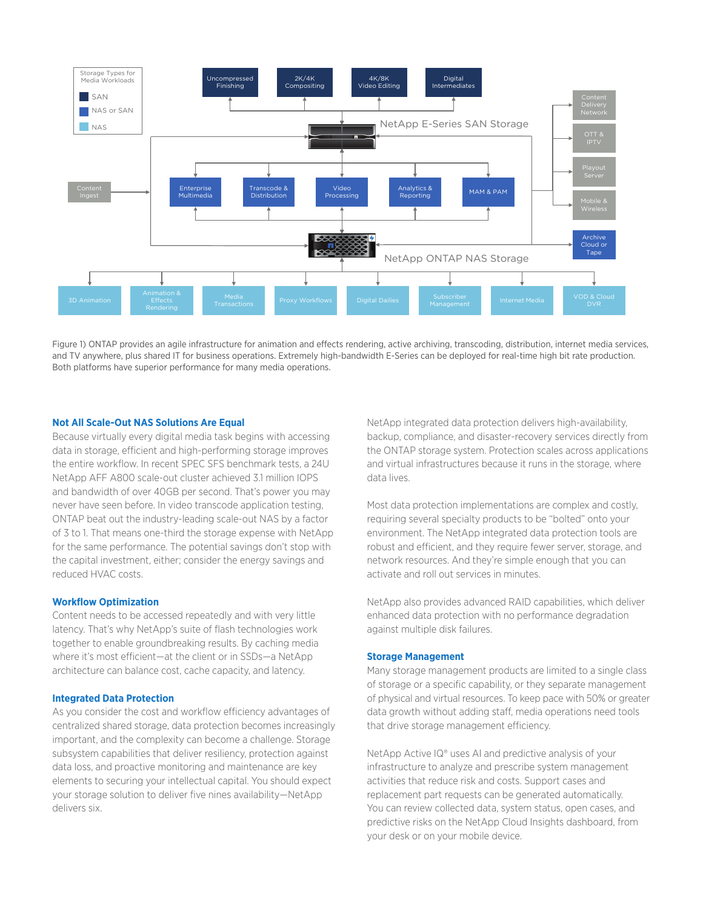

Figure 1) ONTAP provides an agile infrastructure for animation and effects rendering, active archiving, transcoding, distribution, internet media services, and TV anywhere, plus shared IT for business operations. Extremely high-bandwidth E-Series can be deployed for real-time high bit rate production. Both platforms have superior performance for many media operations.

## **Not All Scale-Out NAS Solutions Are Equal**

Because virtually every digital media task begins with accessing data in storage, efficient and high-performing storage improves the entire workflow. In recent SPEC SFS benchmark tests, a 24U NetApp AFF A800 scale-out cluster achieved 3.1 million IOPS and bandwidth of over 40GB per second. That's power you may never have seen before. In video transcode application testing, ONTAP beat out the industry-leading scale-out NAS by a factor of 3 to 1. That means one-third the storage expense with NetApp for the same performance. The potential savings don't stop with the capital investment, either; consider the energy savings and reduced HVAC costs.

## **Workflow Optimization**

Content needs to be accessed repeatedly and with very little latency. That's why NetApp's suite of flash technologies work together to enable groundbreaking results. By caching media where it's most efficient—at the client or in SSDs—a NetApp architecture can balance cost, cache capacity, and latency.

#### **Integrated Data Protection**

As you consider the cost and workflow efficiency advantages of centralized shared storage, data protection becomes increasingly important, and the complexity can become a challenge. Storage subsystem capabilities that deliver resiliency, protection against data loss, and proactive monitoring and maintenance are key elements to securing your intellectual capital. You should expect your storage solution to deliver five nines availability—NetApp delivers six.

NetApp integrated data protection delivers high-availability, backup, compliance, and disaster-recovery services directly from the ONTAP storage system. Protection scales across applications and virtual infrastructures because it runs in the storage, where data lives.

Most data protection implementations are complex and costly, requiring several specialty products to be "bolted" onto your environment. The NetApp integrated data protection tools are robust and efficient, and they require fewer server, storage, and network resources. And they're simple enough that you can activate and roll out services in minutes.

NetApp also provides advanced RAID capabilities, which deliver enhanced data protection with no performance degradation against multiple disk failures.

## **Storage Management**

Many storage management products are limited to a single class of storage or a specific capability, or they separate management of physical and virtual resources. To keep pace with 50% or greater data growth without adding staff, media operations need tools that drive storage management efficiency.

NetApp Active IQ® uses AI and predictive analysis of your infrastructure to analyze and prescribe system management activities that reduce risk and costs. Support cases and replacement part requests can be generated automatically. You can review collected data, system status, open cases, and predictive risks on the NetApp Cloud Insights dashboard, from your desk or on your mobile device.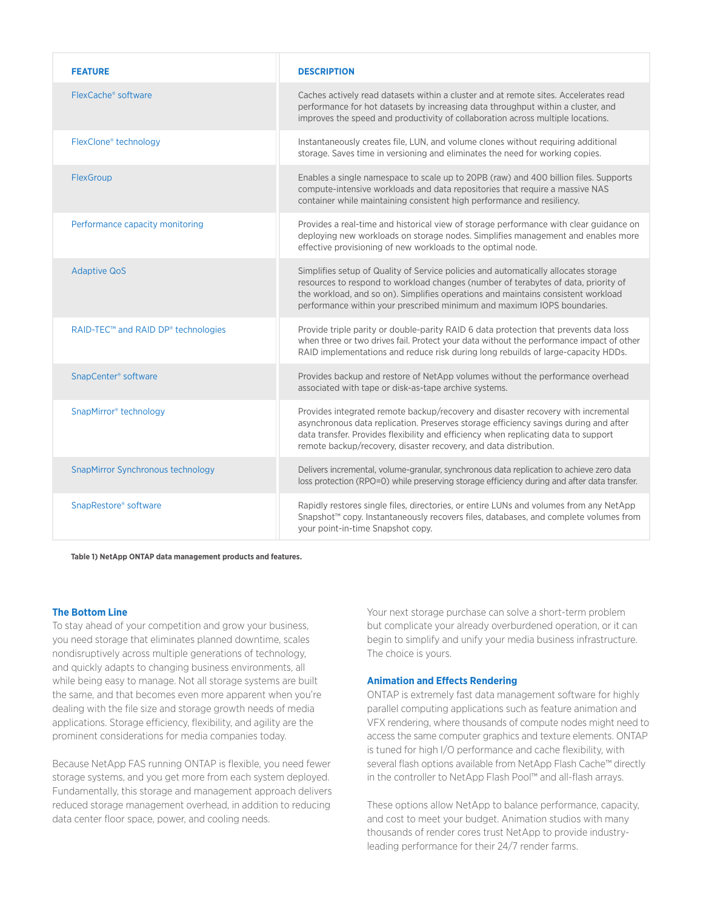| <b>FEATURE</b>                      | <b>DESCRIPTION</b>                                                                                                                                                                                                                                                                                                                        |
|-------------------------------------|-------------------------------------------------------------------------------------------------------------------------------------------------------------------------------------------------------------------------------------------------------------------------------------------------------------------------------------------|
| FlexCache® software                 | Caches actively read datasets within a cluster and at remote sites. Accelerates read<br>performance for hot datasets by increasing data throughput within a cluster, and<br>improves the speed and productivity of collaboration across multiple locations.                                                                               |
| FlexClone® technology               | Instantaneously creates file, LUN, and volume clones without requiring additional<br>storage. Saves time in versioning and eliminates the need for working copies.                                                                                                                                                                        |
| FlexGroup                           | Enables a single namespace to scale up to 20PB (raw) and 400 billion files. Supports<br>compute-intensive workloads and data repositories that require a massive NAS<br>container while maintaining consistent high performance and resiliency.                                                                                           |
| Performance capacity monitoring     | Provides a real-time and historical view of storage performance with clear guidance on<br>deploying new workloads on storage nodes. Simplifies management and enables more<br>effective provisioning of new workloads to the optimal node.                                                                                                |
| <b>Adaptive QoS</b>                 | Simplifies setup of Quality of Service policies and automatically allocates storage<br>resources to respond to workload changes (number of terabytes of data, priority of<br>the workload, and so on). Simplifies operations and maintains consistent workload<br>performance within your prescribed minimum and maximum IOPS boundaries. |
| RAID-TEC™ and RAID DP® technologies | Provide triple parity or double-parity RAID 6 data protection that prevents data loss<br>when three or two drives fail. Protect your data without the performance impact of other<br>RAID implementations and reduce risk during long rebuilds of large-capacity HDDs.                                                                    |
| SnapCenter <sup>®</sup> software    | Provides backup and restore of NetApp volumes without the performance overhead<br>associated with tape or disk-as-tape archive systems.                                                                                                                                                                                                   |
| SnapMirror® technology              | Provides integrated remote backup/recovery and disaster recovery with incremental<br>asynchronous data replication. Preserves storage efficiency savings during and after<br>data transfer. Provides flexibility and efficiency when replicating data to support<br>remote backup/recovery, disaster recovery, and data distribution.     |
| SnapMirror Synchronous technology   | Delivers incremental, volume-granular, synchronous data replication to achieve zero data<br>loss protection (RPO=0) while preserving storage efficiency during and after data transfer.                                                                                                                                                   |
| SnapRestore® software               | Rapidly restores single files, directories, or entire LUNs and volumes from any NetApp<br>Snapshot™ copy. Instantaneously recovers files, databases, and complete volumes from<br>your point-in-time Snapshot copy.                                                                                                                       |

**Table 1) NetApp ONTAP data management products and features.**

## **The Bottom Line**

To stay ahead of your competition and grow your business, you need storage that eliminates planned downtime, scales nondisruptively across multiple generations of technology, and quickly adapts to changing business environments, all while being easy to manage. Not all storage systems are built the same, and that becomes even more apparent when you're dealing with the file size and storage growth needs of media applications. Storage efficiency, flexibility, and agility are the prominent considerations for media companies today.

Because NetApp FAS running ONTAP is flexible, you need fewer storage systems, and you get more from each system deployed. Fundamentally, this storage and management approach delivers reduced storage management overhead, in addition to reducing data center floor space, power, and cooling needs.

Your next storage purchase can solve a short-term problem but complicate your already overburdened operation, or it can begin to simplify and unify your media business infrastructure. The choice is yours.

#### **Animation and Effects Rendering**

ONTAP is extremely fast data management software for highly parallel computing applications such as feature animation and VFX rendering, where thousands of compute nodes might need to access the same computer graphics and texture elements. ONTAP is tuned for high I/O performance and cache flexibility, with several flash options available from NetApp Flash Cache™ directly in the controller to NetApp Flash Pool™ and all-flash arrays.

These options allow NetApp to balance performance, capacity, and cost to meet your budget. Animation studios with many thousands of render cores trust NetApp to provide industryleading performance for their 24/7 render farms.